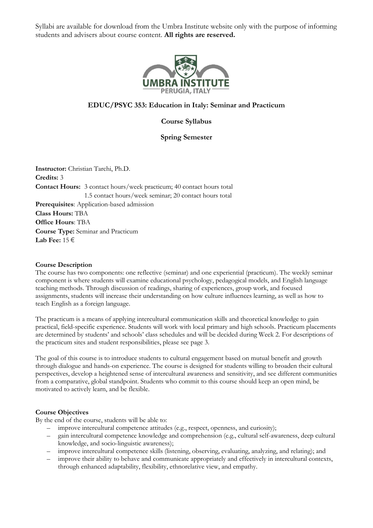

# **EDUC/PSYC [353: Education in Italy: Seminar and Practicum](http://www.umbra.org/courses/cesp-353/)**

**Course Syllabus**

# **Spring Semester**

**Instructor:** Christian Tarchi, Ph.D. **Credits:** 3 **Contact Hours:** 3 contact hours/week practicum; 40 contact hours total 1.5 contact hours/week seminar; 20 contact hours total **Prerequisites**: Application-based admission **Class Hours:** TBA **Office Hours**: TBA **Course Type:** Seminar and Practicum **Lab Fee:** 15 €

## **Course Description**

The course has two components: one reflective (seminar) and one experiential (practicum). The weekly seminar component is where students will examine educational psychology, pedagogical models, and English language teaching methods. Through discussion of readings, sharing of experiences, group work, and focused assignments, students will increase their understanding on how culture influences learning, as well as how to teach English as a foreign language.

The practicum is a means of applying intercultural communication skills and theoretical knowledge to gain practical, field-specific experience. Students will work with local primary and high schools. Practicum placements are determined by students' and schools' class schedules and will be decided during Week 2. For descriptions of the practicum sites and student responsibilities, please see page 3.

The goal of this course is to introduce students to cultural engagement based on mutual benefit and growth through dialogue and hands-on experience. The course is designed for students willing to broaden their cultural perspectives, develop a heightened sense of intercultural awareness and sensitivity, and see different communities from a comparative, global standpoint. Students who commit to this course should keep an open mind, be motivated to actively learn, and be flexible.

## **Course Objectives**

By the end of the course, students will be able to:

- improve intercultural competence attitudes (e.g., respect, openness, and curiosity);
- gain intercultural competence knowledge and comprehension (e.g., cultural self-awareness, deep cultural knowledge, and socio-linguistic awareness);
- improve intercultural competence skills (listening, observing, evaluating, analyzing, and relating); and
- improve their ability to behave and communicate appropriately and effectively in intercultural contexts, through enhanced adaptability, flexibility, ethnorelative view, and empathy.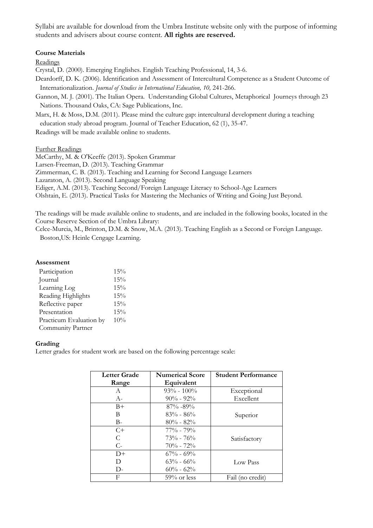# **Course Materials**

Readings

Crystal, D. (2000). Emerging Englishes. English Teaching Professional, 14, 3-6.

Deardorff, D. K. (2006). Identification and Assessment of Intercultural Competence as a Student Outcome of Internationalization. *Journal of Studies in International Education, 10,* 241-266.

Gannon, M. J. (2001). The Italian Opera. Understanding Global Cultures, Metaphorical Journeys through 23 Nations. Thousand Oaks, CA: Sage Publications, Inc.

Marx, H. & Moss, D.M. (2011). Please mind the culture gap: intercultural development during a teaching education study abroad program. Journal of Teacher Education, 62 (1), 35-47.

Readings will be made available online to students.

Further Readings

McCarthy, M. & O'Keeffe (2013). Spoken Grammar Larsen-Freeman, D. (2013). Teaching Grammar Zimmerman, C. B. (2013). Teaching and Learning for Second Language Learners Lazaraton, A. (2013). Second Language Speaking Ediger, A.M. (2013). Teaching Second/Foreign Language Literacy to School-Age Learners Olshtain, E. (2013). Practical Tasks for Mastering the Mechanics of Writing and Going Just Beyond.

The readings will be made available online to students, and are included in the following books, located in the Course Reserve Section of the Umbra Library:

Celce-Murcia, M., Brinton, D.M. & Snow, M.A. (2013). Teaching English as a Second or Foreign Language. Boston,US: Heinle Cengage Learning.

## **Assessment**

| Participation           | 15% |
|-------------------------|-----|
| Journal                 | 15% |
| Learning Log            | 15% |
| Reading Highlights      | 15% |
| Reflective paper        | 15% |
| Presentation            | 15% |
| Practicum Evaluation by | 10% |
| Community Partner       |     |

## **Grading**

Letter grades for student work are based on the following percentage scale:

| <b>Letter Grade</b> | <b>Numerical Score</b> | <b>Student Performance</b> |
|---------------------|------------------------|----------------------------|
| Range               | Equivalent             |                            |
| A                   | $93\% - 100\%$         | Exceptional                |
| $A-$                | $90\% - 92\%$          | Excellent                  |
| $B+$                | $87\% - 89\%$          |                            |
| В                   | $83\% - 86\%$          | Superior                   |
| $B-$                | $80\% - 82\%$          |                            |
| $C+$                | $77\% - 79\%$          |                            |
| C                   | $73\% - 76\%$          | Satisfactory               |
| $C-$                | $70\% - 72\%$          |                            |
| $D+$                | $67\% - 69\%$          |                            |
| D                   | $63\% - 66\%$          | Low Pass                   |
| D-                  | $60\% - 62\%$          |                            |
| F                   | $59\%$ or less         | Fail (no credit)           |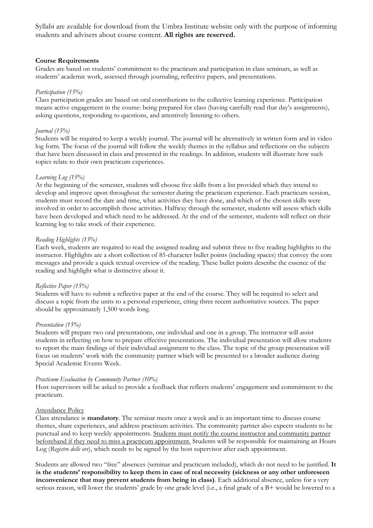## **Course Requirements**

Grades are based on students' commitment to the practicum and participation in class seminars, as well as students' academic work, assessed through journaling, reflective papers, and presentations.

## *Participation (15%)*

Class participation grades are based on oral contributions to the collective learning experience. Participation means active engagement in the course: being prepared for class (having carefully read that day's assignments), asking questions, responding to questions, and attentively listening to others.

## *Journal (15%)*

Students will be required to keep a weekly journal. The journal will be alternatively in written form and in video log form. The focus of the journal will follow the weekly themes in the syllabus and reflections on the subjects that have been discussed in class and presented in the readings. In addition, students will illustrate how such topics relate to their own practicum experiences.

## *Learning Log (15%)*

At the beginning of the semester, students will choose five skills from a list provided which they intend to develop and improve upon throughout the semester during the practicum experience. Each practicum session, students must record the date and time, what activities they have done, and which of the chosen skills were involved in order to accomplish those activities. Halfway through the semester, students will assess which skills have been developed and which need to be addressed. At the end of the semester, students will reflect on their learning log to take stock of their experience.

## *Reading Highlights (15%)*

Each week, students are required to read the assigned reading and submit three to five reading highlights to the instructor. Highlights are a short collection of 85-character bullet points (including spaces) that convey the core messages and provide a quick textual overview of the reading. These bullet points describe the essence of the reading and highlight what is distinctive about it.

### *Reflective Paper (15%)*

Students will have to submit a reflective paper at the end of the course. They will be required to select and discuss a topic from the units to a personal experience, citing three recent authoritative sources. The paper should be approximately 1,500 words long.

### *Presentation (15%)*

Students will prepare two oral presentations, one individual and one in a group. The instructor will assist students in reflecting on how to prepare effective presentations. The individual presentation will allow students to report the main findings of their individual assignment to the class. The topic of the group presentation will focus on students' work with the community partner which will be presented to a broader audience during Special Academic Events Week.

### *Practicum Evaluation by Community Partner (10%)*

Host supervisors will be asked to provide a feedback that reflects students' engagement and commitment to the practicum.

## Attendance Policy

Class attendance is **mandatory**. The seminar meets once a week and is an important time to discuss course themes, share experiences, and address practicum activities. The community partner also expects students to be punctual and to keep weekly appointments. Students must notify the course instructor and community partner beforehand if they need to miss a practicum appointment. Students will be responsible for maintaining an Hours Log (*Registro delle ore*), which needs to be signed by the host supervisor after each appointment.

Students are allowed two "free" absences (seminar and practicum included), which do not need to be justified. **It is the students' responsibility to keep them in case of real necessity (sickness or any other unforeseen inconvenience that may prevent students from being in class)**. Each additional absence, unless for a very serious reason, will lower the students' grade by one grade level (i.e., a final grade of a B+ would be lowered to a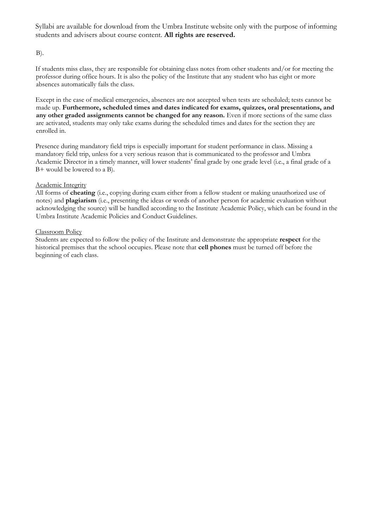$B$ ).

If students miss class, they are responsible for obtaining class notes from other students and/or for meeting the professor during office hours. It is also the policy of the Institute that any student who has eight or more absences automatically fails the class.

Except in the case of medical emergencies, absences are not accepted when tests are scheduled; tests cannot be made up. **Furthermore, scheduled times and dates indicated for exams, quizzes, oral presentations, and any other graded assignments cannot be changed for any reason.** Even if more sections of the same class are activated, students may only take exams during the scheduled times and dates for the section they are enrolled in.

Presence during mandatory field trips is especially important for student performance in class. Missing a mandatory field trip, unless for a very serious reason that is communicated to the professor and Umbra Academic Director in a timely manner, will lower students' final grade by one grade level (i.e., a final grade of a B+ would be lowered to a B).

# Academic Integrity

All forms of **cheating** (i.e., copying during exam either from a fellow student or making unauthorized use of notes) and **plagiarism** (i.e., presenting the ideas or words of another person for academic evaluation without acknowledging the source) will be handled according to the Institute Academic Policy, which can be found in the Umbra Institute Academic Policies and Conduct Guidelines.

# Classroom Policy

Students are expected to follow the policy of the Institute and demonstrate the appropriate **respect** for the historical premises that the school occupies. Please note that **cell phones** must be turned off before the beginning of each class.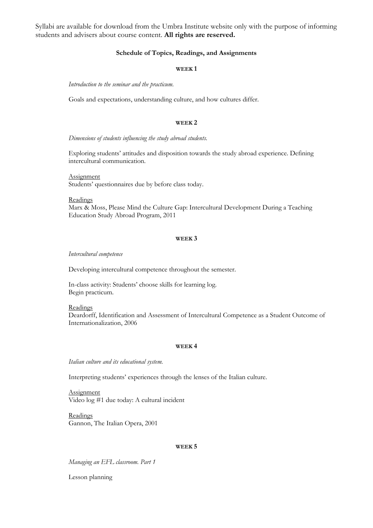### **Schedule of Topics, Readings, and Assignments**

#### **WEEK 1**

*Introduction to the seminar and the practicum.*

Goals and expectations, understanding culture, and how cultures differ.

#### **WEEK 2**

*Dimensions of students influencing the study abroad students.*

Exploring students' attitudes and disposition towards the study abroad experience. Defining intercultural communication.

Assignment Students' questionnaires due by before class today.

**Readings** 

Marx & Moss, Please Mind the Culture Gap: Intercultural Development During a Teaching Education Study Abroad Program, 2011

#### **WEEK 3**

*Intercultural competence*

Developing intercultural competence throughout the semester.

In-class activity: Students' choose skills for learning log. Begin practicum.

Readings

Deardorff, Identification and Assessment of Intercultural Competence as a Student Outcome of Internationalization, 2006

#### **WEEK 4**

*Italian culture and its educational system.*

Interpreting students' experiences through the lenses of the Italian culture.

Assignment Video log #1 due today: A cultural incident

Readings Gannon, The Italian Opera, 2001

#### **WEEK 5**

*Managing an EFL classroom. Part 1*

Lesson planning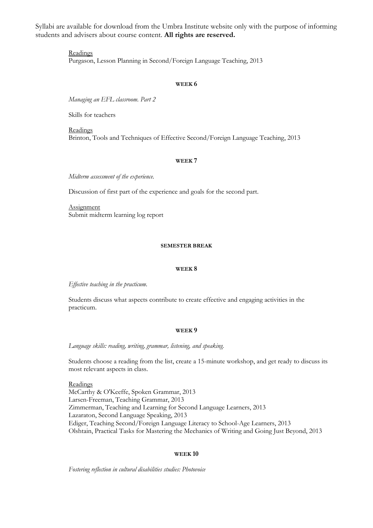> Readings Purgason, Lesson Planning in Second/Foreign Language Teaching, 2013

#### **WEEK 6**

*Managing an EFL classroom. Part 2*

Skills for teachers

Readings Brinton, Tools and Techniques of Effective Second/Foreign Language Teaching, 2013

#### **WEEK 7**

*Midterm assessment of the experience.* 

Discussion of first part of the experience and goals for the second part.

**Assignment** Submit midterm learning log report

### **SEMESTER BREAK**

#### **WEEK 8**

*Effective teaching in the practicum.*

Students discuss what aspects contribute to create effective and engaging activities in the practicum.

#### **WEEK 9**

*Language skills: reading, writing, grammar, listening, and speaking.*

Students choose a reading from the list, create a 15-minute workshop, and get ready to discuss its most relevant aspects in class.

**Readings** McCarthy & O'Keeffe, Spoken Grammar, 2013 Larsen-Freeman, Teaching Grammar, 2013 Zimmerman, Teaching and Learning for Second Language Learners, 2013 Lazaraton, Second Language Speaking, 2013 Ediger, Teaching Second/Foreign Language Literacy to School-Age Learners, 2013 Olshtain, Practical Tasks for Mastering the Mechanics of Writing and Going Just Beyond, 2013

#### **WEEK 10**

*Fostering reflection in cultural disabilities studies: Photovoice*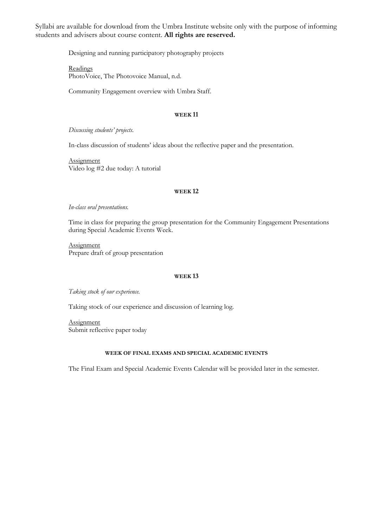Designing and running participatory photography projects

Readings PhotoVoice, The Photovoice Manual, n.d.

Community Engagement overview with Umbra Staff.

### **WEEK 11**

*Discussing students' projects.*

In-class discussion of students' ideas about the reflective paper and the presentation.

**Assignment** Video log #2 due today: A tutorial

#### **WEEK 12**

### *In-class oral presentations.*

Time in class for preparing the group presentation for the Community Engagement Presentations during Special Academic Events Week.

**Assignment** Prepare draft of group presentation

#### **WEEK 13**

*Taking stock of our experience.*

Taking stock of our experience and discussion of learning log.

**Assignment** Submit reflective paper today

## **WEEK OF FINAL EXAMS AND SPECIAL ACADEMIC EVENTS**

The Final Exam and Special Academic Events Calendar will be provided later in the semester.